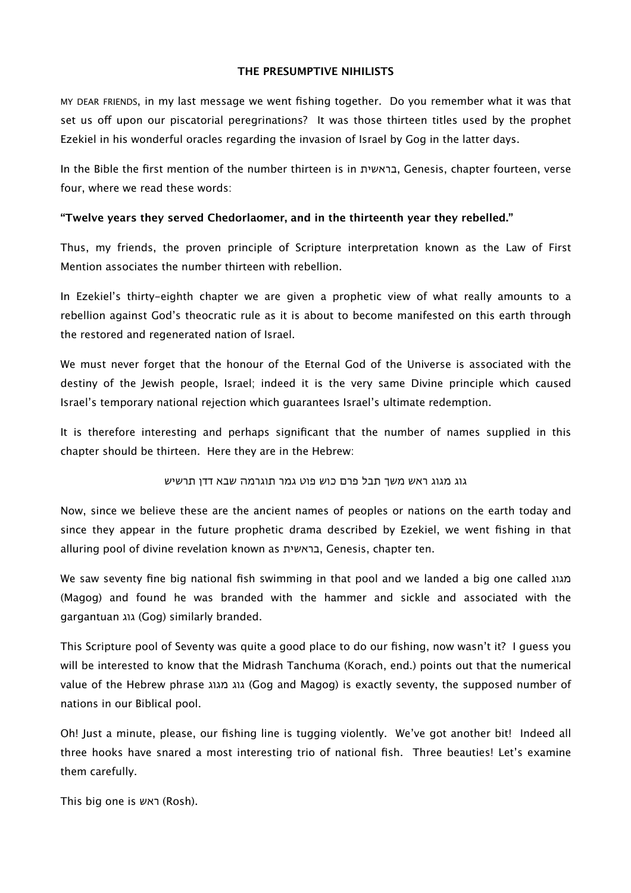#### **THE PRESUMPTIVE NIHILISTS**

MY DEAR FRIENDS, in my last message we went fishing together. Do you remember what it was that set us off upon our piscatorial peregrinations? It was those thirteen titles used by the prophet Ezekiel in his wonderful oracles regarding the invasion of Israel by Gog in the latter days.

In the Bible the first mention of the number thirteen is in בראשית, Genesis, chapter fourteen, verse four, where we read these words:

## **"Twelve years they served Chedorlaomer, and in the thirteenth year they rebelled."**

Thus, my friends, the proven principle of Scripture interpretation known as the Law of First Mention associates the number thirteen with rebellion.

In Ezekiel's thirty-eighth chapter we are given a prophetic view of what really amounts to a rebellion against God's theocratic rule as it is about to become manifested on this earth through the restored and regenerated nation of Israel.

We must never forget that the honour of the Eternal God of the Universe is associated with the destiny of the Jewish people, Israel; indeed it is the very same Divine principle which caused Israel's temporary national rejection which guarantees Israel's ultimate redemption.

It is therefore interesting and perhaps significant that the number of names supplied in this chapter should be thirteen. Here they are in the Hebrew:

גוג מגוג ראש משך תבל פרם כוש פוט גמר תוגרמה שבא דדן תרשיש

Now, since we believe these are the ancient names of peoples or nations on the earth today and since they appear in the future prophetic drama described by Ezekiel, we went fishing in that alluring pool of divine revelation known as בראשית, Genesis, chapter ten.

We saw seventy fine big national fish swimming in that pool and we landed a big one called מגוג (Magog) and found he was branded with the hammer and sickle and associated with the gargantuan גוג) Gog) similarly branded.

This Scripture pool of Seventy was quite a good place to do our fishing, now wasn't it? I guess you will be interested to know that the Midrash Tanchuma (Korach, end.) points out that the numerical value of the Hebrew phrase מגוג גוג) Gog and Magog) is exactly seventy, the supposed number of nations in our Biblical pool.

Oh! Just a minute, please, our fishing line is tugging violently. We've got another bit! Indeed all three hooks have snared a most interesting trio of national fish. Three beauties! Let's examine them carefully.

This big one is ראש) Rosh).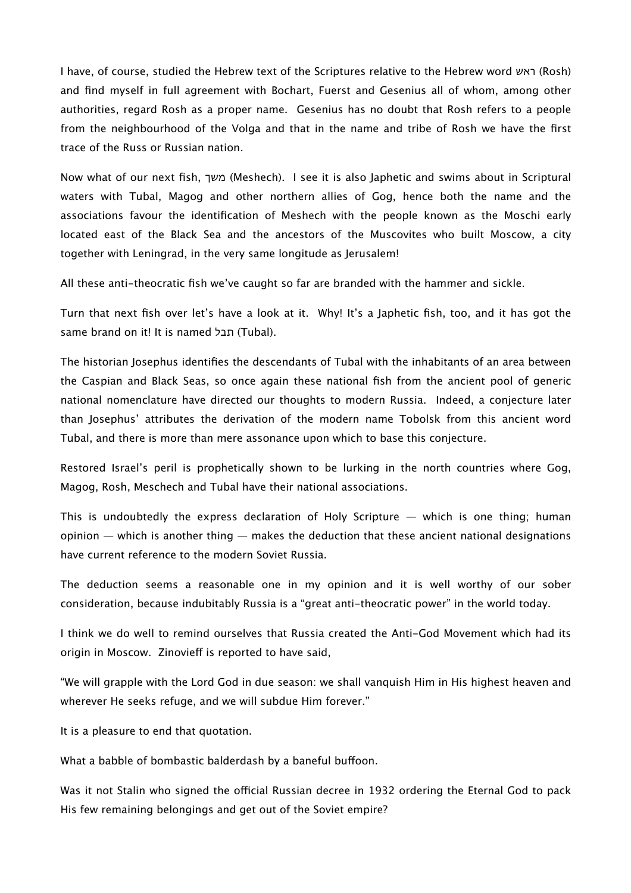I have, of course, studied the Hebrew text of the Scriptures relative to the Hebrew word ראש) Rosh) and find myself in full agreement with Bochart, Fuerst and Gesenius all of whom, among other authorities, regard Rosh as a proper name. Gesenius has no doubt that Rosh refers to a people from the neighbourhood of the Volga and that in the name and tribe of Rosh we have the first trace of the Russ or Russian nation.

Now what of our next fish, משך) Meshech). I see it is also Japhetic and swims about in Scriptural waters with Tubal, Magog and other northern allies of Gog, hence both the name and the associations favour the identification of Meshech with the people known as the Moschi early located east of the Black Sea and the ancestors of the Muscovites who built Moscow, a city together with Leningrad, in the very same longitude as Jerusalem!

All these anti-theocratic fish we've caught so far are branded with the hammer and sickle.

Turn that next fish over let's have a look at it. Why! It's a Japhetic fish, too, and it has got the same brand on it! It is named תבל).

The historian Josephus identifies the descendants of Tubal with the inhabitants of an area between the Caspian and Black Seas, so once again these national fish from the ancient pool of generic national nomenclature have directed our thoughts to modern Russia. Indeed, a conjecture later than Josephus' attributes the derivation of the modern name Tobolsk from this ancient word Tubal, and there is more than mere assonance upon which to base this conjecture.

Restored Israel's peril is prophetically shown to be lurking in the north countries where Gog, Magog, Rosh, Meschech and Tubal have their national associations.

This is undoubtedly the express declaration of Holy Scripture  $-$  which is one thing; human  $o$ pinion  $-$  which is another thing  $-$  makes the deduction that these ancient national designations have current reference to the modern Soviet Russia.

The deduction seems a reasonable one in my opinion and it is well worthy of our sober consideration, because indubitably Russia is a "great anti-theocratic power" in the world today.

I think we do well to remind ourselves that Russia created the Anti-God Movement which had its origin in Moscow. Zinovieff is reported to have said,

"We will grapple with the Lord God in due season: we shall vanquish Him in His highest heaven and wherever He seeks refuge, and we will subdue Him forever."

It is a pleasure to end that quotation.

What a babble of bombastic balderdash by a baneful buffoon.

Was it not Stalin who signed the official Russian decree in 1932 ordering the Eternal God to pack His few remaining belongings and get out of the Soviet empire?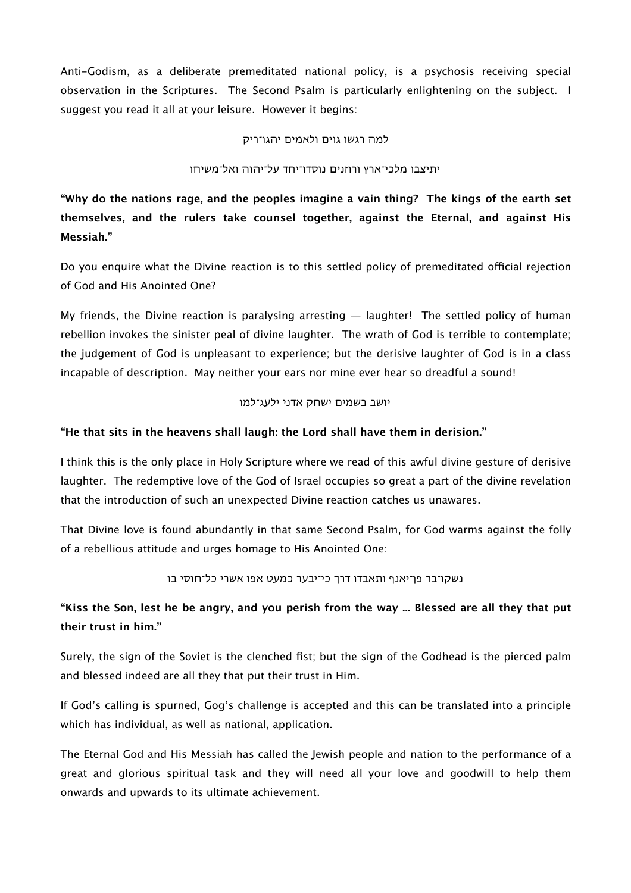Anti-Godism, as a deliberate premeditated national policy, is a psychosis receiving special observation in the Scriptures. The Second Psalm is particularly enlightening on the subject. I suggest you read it all at your leisure. However it begins:

למה רגשו גוים ולאמים יהגו־ריק

#### יתיצבו מלכי־ארץ ורוזנים נוסדו־יחד על־יהוה ואל־משיחו

**"Why do the nations rage, and the peoples imagine a vain thing? The kings of the earth set themselves, and the rulers take counsel together, against the Eternal, and against His Messiah."**

Do you enquire what the Divine reaction is to this settled policy of premeditated official rejection of God and His Anointed One?

My friends, the Divine reaction is paralysing arresting — laughter! The settled policy of human rebellion invokes the sinister peal of divine laughter. The wrath of God is terrible to contemplate; the judgement of God is unpleasant to experience; but the derisive laughter of God is in a class incapable of description. May neither your ears nor mine ever hear so dreadful a sound!

#### יושב בשמים ישחק אדני ילעג־למו

# **"He that sits in the heavens shall laugh: the Lord shall have them in derision."**

I think this is the only place in Holy Scripture where we read of this awful divine gesture of derisive laughter. The redemptive love of the God of Israel occupies so great a part of the divine revelation that the introduction of such an unexpected Divine reaction catches us unawares.

That Divine love is found abundantly in that same Second Psalm, for God warms against the folly of a rebellious attitude and urges homage to His Anointed One:

נשקו־בר פן־יאנף ותאבדו דרך כי־יבער כמעט אפו אשרי כל־חוסי בו

# **"Kiss the Son, lest he be angry, and you perish from the way ... Blessed are all they that put their trust in him."**

Surely, the sign of the Soviet is the clenched fist; but the sign of the Godhead is the pierced palm and blessed indeed are all they that put their trust in Him.

If God's calling is spurned, Gog's challenge is accepted and this can be translated into a principle which has individual, as well as national, application.

The Eternal God and His Messiah has called the Jewish people and nation to the performance of a great and glorious spiritual task and they will need all your love and goodwill to help them onwards and upwards to its ultimate achievement.